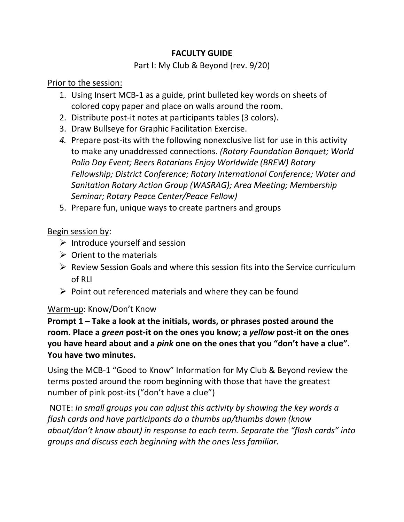## **FACULTY GUIDE**

#### Part I: My Club & Beyond (rev. 9/20)

### Prior to the session:

- 1. Using Insert MCB-1 as a guide, print bulleted key words on sheets of colored copy paper and place on walls around the room.
- 2. Distribute post-it notes at participants tables (3 colors).
- 3. Draw Bullseye for Graphic Facilitation Exercise.
- *4.* Prepare post-its with the following nonexclusive list for use in this activity to make any unaddressed connections. *(Rotary Foundation Banquet; World Polio Day Event; Beers Rotarians Enjoy Worldwide (BREW) Rotary Fellowship; District Conference; Rotary International Conference; Water and Sanitation Rotary Action Group (WASRAG); Area Meeting; Membership Seminar; Rotary Peace Center/Peace Fellow)*
- 5. Prepare fun, unique ways to create partners and groups

## Begin session by:

- $\triangleright$  Introduce yourself and session
- $\triangleright$  Orient to the materials
- ➢ Review Session Goals and where this session fits into the Service curriculum of RLI
- $\triangleright$  Point out referenced materials and where they can be found

# Warm-up: Know/Don't Know

**Prompt 1 – Take a look at the initials, words, or phrases posted around the room. Place a** *green* **post-it on the ones you know; a** *yellow* **post-it on the ones you have heard about and a** *pink* **one on the ones that you "don't have a clue". You have two minutes.**

Using the MCB-1 "Good to Know" Information for My Club & Beyond review the terms posted around the room beginning with those that have the greatest number of pink post-its ("don't have a clue")

NOTE: *In small groups you can adjust this activity by showing the key words a flash cards and have participants do a thumbs up/thumbs down (know about/don't know about) in response to each term. Separate the "flash cards" into groups and discuss each beginning with the ones less familiar.*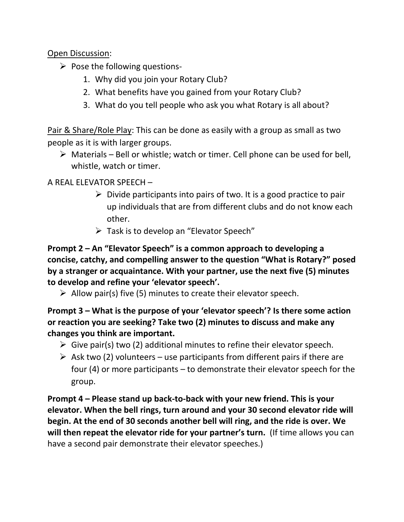Open Discussion:

- $\triangleright$  Pose the following questions-
	- 1. Why did you join your Rotary Club?
	- 2. What benefits have you gained from your Rotary Club?
	- 3. What do you tell people who ask you what Rotary is all about?

Pair & Share/Role Play: This can be done as easily with a group as small as two people as it is with larger groups.

 $\triangleright$  Materials – Bell or whistle; watch or timer. Cell phone can be used for bell, whistle, watch or timer.

## A REAL ELEVATOR SPEECH –

- $\triangleright$  Divide participants into pairs of two. It is a good practice to pair up individuals that are from different clubs and do not know each other.
- $\triangleright$  Task is to develop an "Elevator Speech"

**Prompt 2 – An "Elevator Speech" is a common approach to developing a concise, catchy, and compelling answer to the question "What is Rotary?" posed by a stranger or acquaintance. With your partner, use the next five (5) minutes to develop and refine your 'elevator speech'.** 

 $\triangleright$  Allow pair(s) five (5) minutes to create their elevator speech.

**Prompt 3 – What is the purpose of your 'elevator speech'? Is there some action or reaction you are seeking? Take two (2) minutes to discuss and make any changes you think are important.** 

- $\triangleright$  Give pair(s) two (2) additional minutes to refine their elevator speech.
- $\triangleright$  Ask two (2) volunteers use participants from different pairs if there are four (4) or more participants – to demonstrate their elevator speech for the group.

**Prompt 4 – Please stand up back-to-back with your new friend. This is your elevator. When the bell rings, turn around and your 30 second elevator ride will begin. At the end of 30 seconds another bell will ring, and the ride is over. We will then repeat the elevator ride for your partner's turn.** (If time allows you can have a second pair demonstrate their elevator speeches.)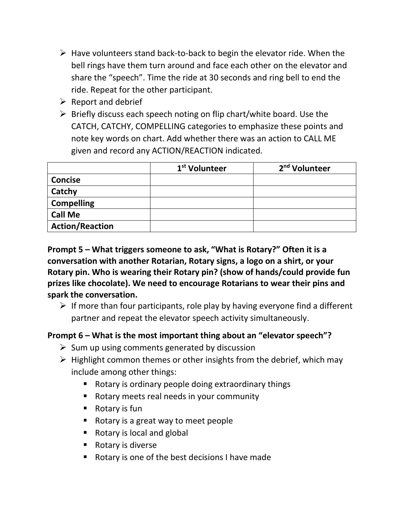- $\triangleright$  Have volunteers stand back-to-back to begin the elevator ride. When the bell rings have them turn around and face each other on the elevator and share the "speech". Time the ride at 30 seconds and ring bell to end the ride. Repeat for the other participant.
- $\triangleright$  Report and debrief
- $\triangleright$  Briefly discuss each speech noting on flip chart/white board. Use the CATCH, CATCHY, COMPELLING categories to emphasize these points and note key words on chart. Add whether there was an action to CALL ME given and record any ACTION/REACTION indicated.

|                        | 1 <sup>st</sup> Volunteer | 2 <sup>nd</sup> Volunteer |
|------------------------|---------------------------|---------------------------|
| <b>Concise</b>         |                           |                           |
| Catchy                 |                           |                           |
| <b>Compelling</b>      |                           |                           |
| <b>Call Me</b>         |                           |                           |
| <b>Action/Reaction</b> |                           |                           |

**Prompt 5 – What triggers someone to ask, "What is Rotary?" Often it is a conversation with another Rotarian, Rotary signs, a logo on a shirt, or your Rotary pin. Who is wearing their Rotary pin? (show of hands/could provide fun prizes like chocolate). We need to encourage Rotarians to wear their pins and spark the conversation.** 

 $\triangleright$  If more than four participants, role play by having everyone find a different partner and repeat the elevator speech activity simultaneously.

# **Prompt 6 – What is the most important thing about an "elevator speech"?**

- $\triangleright$  Sum up using comments generated by discussion
- ➢ Highlight common themes or other insights from the debrief, which may include among other things:
	- Rotary is ordinary people doing extraordinary things
	- Rotary meets real needs in your community
	- Rotary is fun
	- Rotary is a great way to meet people
	- Rotary is local and global
	- Rotary is diverse
	- Rotary is one of the best decisions I have made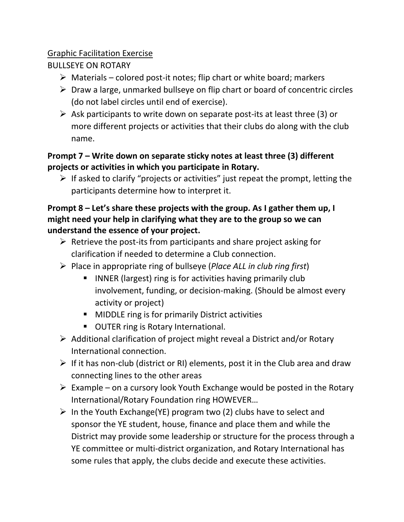# Graphic Facilitation Exercise

# BULLSEYE ON ROTARY

- $\triangleright$  Materials colored post-it notes; flip chart or white board; markers
- $\triangleright$  Draw a large, unmarked bullseye on flip chart or board of concentric circles (do not label circles until end of exercise).
- $\triangleright$  Ask participants to write down on separate post-its at least three (3) or more different projects or activities that their clubs do along with the club name.

# **Prompt 7 – Write down on separate sticky notes at least three (3) different projects or activities in which you participate in Rotary.**

 $\triangleright$  If asked to clarify "projects or activities" just repeat the prompt, letting the participants determine how to interpret it.

# **Prompt 8 – Let's share these projects with the group. As I gather them up, I might need your help in clarifying what they are to the group so we can understand the essence of your project.**

- $\triangleright$  Retrieve the post-its from participants and share project asking for clarification if needed to determine a Club connection.
- ➢ Place in appropriate ring of bullseye (*Place ALL in club ring first*)
	- INNER (largest) ring is for activities having primarily club involvement, funding, or decision-making. (Should be almost every activity or project)
	- MIDDLE ring is for primarily District activities
	- OUTER ring is Rotary International.
- $\triangleright$  Additional clarification of project might reveal a District and/or Rotary International connection.
- $\triangleright$  If it has non-club (district or RI) elements, post it in the Club area and draw connecting lines to the other areas
- $\triangleright$  Example on a cursory look Youth Exchange would be posted in the Rotary International/Rotary Foundation ring HOWEVER…
- $\triangleright$  In the Youth Exchange(YE) program two (2) clubs have to select and sponsor the YE student, house, finance and place them and while the District may provide some leadership or structure for the process through a YE committee or multi-district organization, and Rotary International has some rules that apply, the clubs decide and execute these activities.